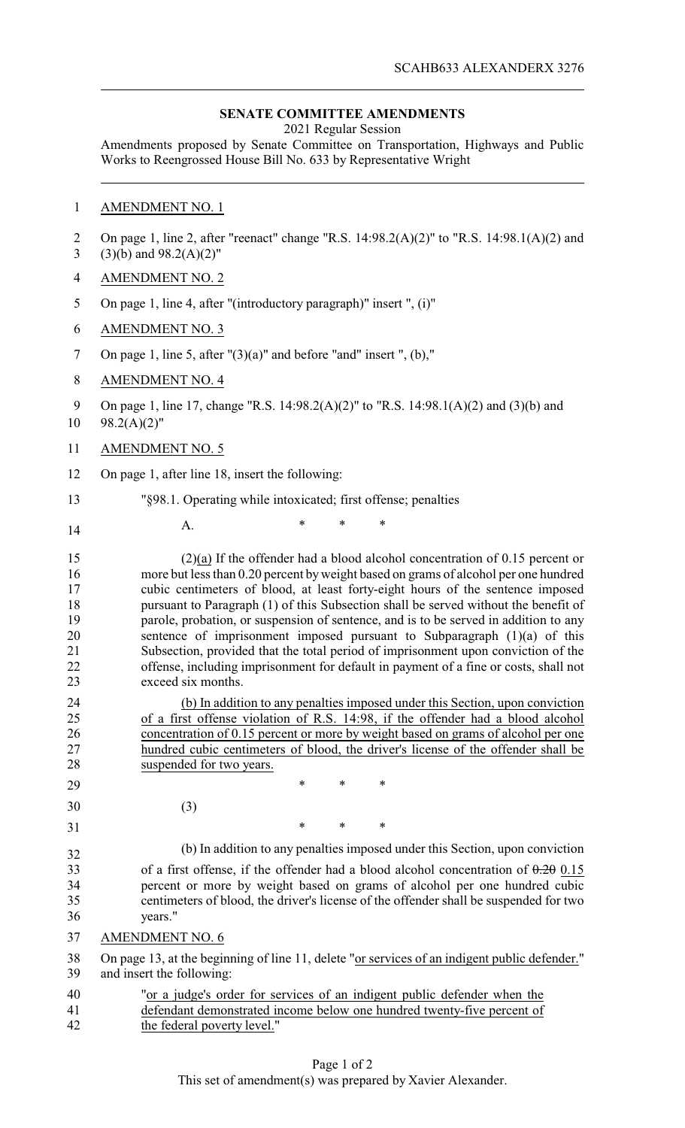## **SENATE COMMITTEE AMENDMENTS**

2021 Regular Session

Amendments proposed by Senate Committee on Transportation, Highways and Public Works to Reengrossed House Bill No. 633 by Representative Wright

# 1 AMENDMENT NO. 1

| $\overline{2}$<br>$\overline{3}$                   | On page 1, line 2, after "reenact" change "R.S. $14:98.2(A)(2)$ " to "R.S. $14:98.1(A)(2)$ and<br>$(3)(b)$ and $98.2(A)(2)$ "                                                                                                                                                                                                                                                                                                                                                                                                                                                                                                                                                                                          |
|----------------------------------------------------|------------------------------------------------------------------------------------------------------------------------------------------------------------------------------------------------------------------------------------------------------------------------------------------------------------------------------------------------------------------------------------------------------------------------------------------------------------------------------------------------------------------------------------------------------------------------------------------------------------------------------------------------------------------------------------------------------------------------|
| 4                                                  | <b>AMENDMENT NO. 2</b>                                                                                                                                                                                                                                                                                                                                                                                                                                                                                                                                                                                                                                                                                                 |
| 5                                                  | On page 1, line 4, after "(introductory paragraph)" insert ", (i)"                                                                                                                                                                                                                                                                                                                                                                                                                                                                                                                                                                                                                                                     |
| 6                                                  | <b>AMENDMENT NO. 3</b>                                                                                                                                                                                                                                                                                                                                                                                                                                                                                                                                                                                                                                                                                                 |
| 7                                                  | On page 1, line 5, after $''(3)(a)''$ and before "and" insert ", (b),"                                                                                                                                                                                                                                                                                                                                                                                                                                                                                                                                                                                                                                                 |
| 8                                                  | <b>AMENDMENT NO. 4</b>                                                                                                                                                                                                                                                                                                                                                                                                                                                                                                                                                                                                                                                                                                 |
| 9<br>10                                            | On page 1, line 17, change "R.S. 14:98.2(A)(2)" to "R.S. 14:98.1(A)(2) and (3)(b) and<br>$98.2(A)(2)$ "                                                                                                                                                                                                                                                                                                                                                                                                                                                                                                                                                                                                                |
| 11                                                 | <b>AMENDMENT NO. 5</b>                                                                                                                                                                                                                                                                                                                                                                                                                                                                                                                                                                                                                                                                                                 |
| 12                                                 | On page 1, after line 18, insert the following:                                                                                                                                                                                                                                                                                                                                                                                                                                                                                                                                                                                                                                                                        |
| 13                                                 | "§98.1. Operating while intoxicated; first offense; penalties                                                                                                                                                                                                                                                                                                                                                                                                                                                                                                                                                                                                                                                          |
| 14                                                 | $\ast$<br>*<br>A.                                                                                                                                                                                                                                                                                                                                                                                                                                                                                                                                                                                                                                                                                                      |
| 15<br>16<br>17<br>18<br>19<br>20<br>21<br>22<br>23 | $(2)(a)$ If the offender had a blood alcohol concentration of 0.15 percent or<br>more but less than 0.20 percent by weight based on grams of alcohol per one hundred<br>cubic centimeters of blood, at least forty-eight hours of the sentence imposed<br>pursuant to Paragraph (1) of this Subsection shall be served without the benefit of<br>parole, probation, or suspension of sentence, and is to be served in addition to any<br>sentence of imprisonment imposed pursuant to Subparagraph $(1)(a)$ of this<br>Subsection, provided that the total period of imprisonment upon conviction of the<br>offense, including imprisonment for default in payment of a fine or costs, shall not<br>exceed six months. |
| 24<br>25<br>26<br>27<br>28<br>29                   | (b) In addition to any penalties imposed under this Section, upon conviction<br>of a first offense violation of R.S. 14:98, if the offender had a blood alcohol<br>concentration of 0.15 percent or more by weight based on grams of alcohol per one<br>hundred cubic centimeters of blood, the driver's license of the offender shall be<br>suspended for two years.<br>*<br>∗<br>*                                                                                                                                                                                                                                                                                                                                   |
| 30                                                 | (3)                                                                                                                                                                                                                                                                                                                                                                                                                                                                                                                                                                                                                                                                                                                    |
| 31                                                 | ∗<br>∗<br>*                                                                                                                                                                                                                                                                                                                                                                                                                                                                                                                                                                                                                                                                                                            |
| 32                                                 | (b) In addition to any penalties imposed under this Section, upon conviction                                                                                                                                                                                                                                                                                                                                                                                                                                                                                                                                                                                                                                           |
| 33<br>34<br>35<br>36                               | of a first offense, if the offender had a blood alcohol concentration of $0.20$ 0.15<br>percent or more by weight based on grams of alcohol per one hundred cubic<br>centimeters of blood, the driver's license of the offender shall be suspended for two<br>years."                                                                                                                                                                                                                                                                                                                                                                                                                                                  |
| 37                                                 | <b>AMENDMENT NO. 6</b>                                                                                                                                                                                                                                                                                                                                                                                                                                                                                                                                                                                                                                                                                                 |
| 38<br>39                                           | On page 13, at the beginning of line 11, delete "or services of an indigent public defender."<br>and insert the following:                                                                                                                                                                                                                                                                                                                                                                                                                                                                                                                                                                                             |
| 40                                                 | "or a judge's order for services of an indigent public defender when the                                                                                                                                                                                                                                                                                                                                                                                                                                                                                                                                                                                                                                               |
| 41                                                 | defendant demonstrated income below one hundred twenty-five percent of                                                                                                                                                                                                                                                                                                                                                                                                                                                                                                                                                                                                                                                 |
| 42                                                 | the federal poverty level."                                                                                                                                                                                                                                                                                                                                                                                                                                                                                                                                                                                                                                                                                            |
|                                                    |                                                                                                                                                                                                                                                                                                                                                                                                                                                                                                                                                                                                                                                                                                                        |